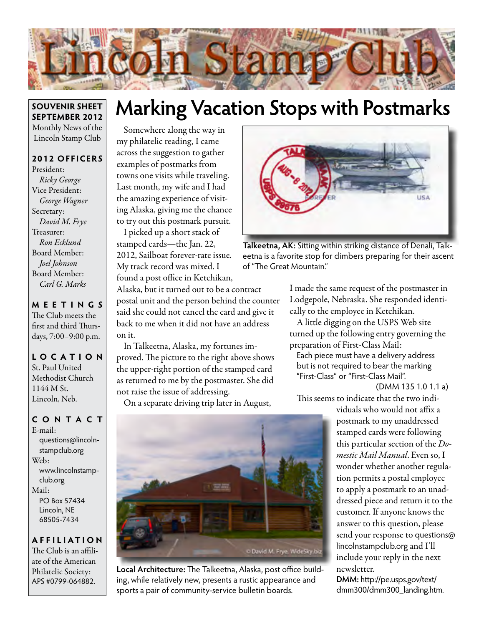

#### **SOUVENIR SHEET SEPTEMBER 2012** Monthly News of the Lincoln Stamp Club

#### **2012 OFFICERS**

President: *Ricky George* Vice President: *George Wagner* Secretary: *David M. Frye* Treasurer: *Ron Ecklund* Board Member: *Joel Johnson* Board Member: *Carl G. Marks*

**MEETINGS** The Club meets the first and third Thursdays, 7:00–9:00 p.m.

#### **LO C ATI O N** St. Paul United Methodist Church 1144 M St. Lincoln, Neb.

#### **CONTACT**

E-mail: questions@lincolnstampclub.org Web: www.lincolnstampclub.org Mail: PO Box 57434 Lincoln, NE 68505-7434

#### **AFFI LIATI O N**

The Club is an affiliate of the American Philatelic Society: APS #0799-064882.

## **Marking Vacation Stops with Postmarks**

Somewhere along the way in my philatelic reading, I came across the suggestion to gather examples of postmarks from towns one visits while traveling. Last month, my wife and I had the amazing experience of visiting Alaska, giving me the chance to try out this postmark pursuit.

I picked up a short stack of stamped cards—the Jan. 22, 2012, Sailboat forever-rate issue. My track record was mixed. I found a post office in Ketchikan,

Alaska, but it turned out to be a contract postal unit and the person behind the counter said she could not cancel the card and give it back to me when it did not have an address on it.

In Talkeetna, Alaska, my fortunes improved. The picture to the right above shows the upper-right portion of the stamped card as returned to me by the postmaster. She did not raise the issue of addressing.

On a separate driving trip later in August,



**Local Architecture:** The Talkeetna, Alaska, post office building, while relatively new, presents a rustic appearance and sports a pair of community-service bulletin boards.



**Talkeetna, AK:** Sitting within striking distance of Denali, Talkeetna is a favorite stop for climbers preparing for their ascent of "The Great Mountain."

I made the same request of the postmaster in Lodgepole, Nebraska. She responded identically to the employee in Ketchikan.

A little digging on the USPS Web site turned up the following entry governing the preparation of First-Class Mail:

Each piece must have a delivery address but is not required to bear the marking "First-Class" or "First-Class Mail".

(DMM 135 1.0 1.1 a)

This seems to indicate that the two indi-

viduals who would not affix a postmark to my unaddressed stamped cards were following this particular section of the *Domestic Mail Manual*. Even so, I wonder whether another regulation permits a postal employee to apply a postmark to an unaddressed piece and return it to the customer. If anyone knows the answer to this question, please send your response to questions@ lincolnstampclub.org and I'll include your reply in the next newsletter.

**DMM:** http://pe.usps.gov/text/ dmm300/dmm300\_landing.htm.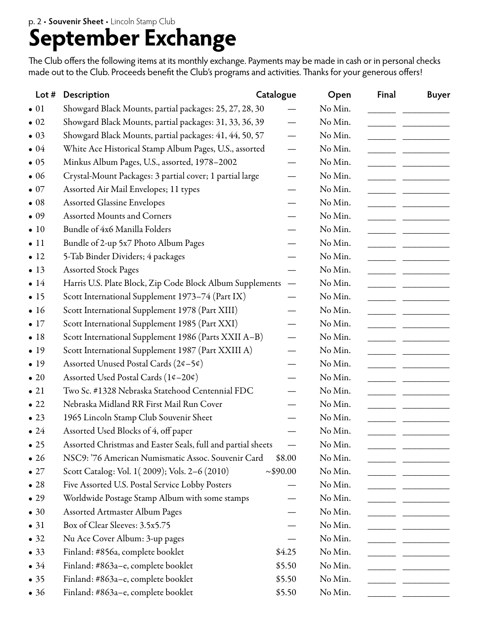# **September Exchange**

The Club offers the following items at its monthly exchange. Payments may be made in cash or in personal checks made out to the Club. Proceeds benefit the Club's programs and activities. Thanks for your generous offers!

| Lot $#$      | Description                                                  | Catalogue                | Open    | Final | <b>Buyer</b> |
|--------------|--------------------------------------------------------------|--------------------------|---------|-------|--------------|
| $\bullet$ 01 | Showgard Black Mounts, partial packages: 25, 27, 28, 30      |                          | No Min. |       |              |
| $\bullet$ 02 | Showgard Black Mounts, partial packages: 31, 33, 36, 39      |                          | No Min. |       |              |
| $\bullet$ 03 | Showgard Black Mounts, partial packages: 41, 44, 50, 57      |                          | No Min. |       |              |
| $\bullet$ 04 | White Ace Historical Stamp Album Pages, U.S., assorted       |                          | No Min. |       |              |
| $\bullet$ 05 | Minkus Album Pages, U.S., assorted, 1978-2002                |                          | No Min. |       |              |
| $\bullet$ 06 | Crystal-Mount Packages: 3 partial cover; 1 partial large     |                          | No Min. |       |              |
| $\bullet$ 07 | Assorted Air Mail Envelopes; 11 types                        |                          | No Min. |       |              |
| $\bullet$ 08 | <b>Assorted Glassine Envelopes</b>                           |                          | No Min. |       |              |
| $\bullet$ 09 | <b>Assorted Mounts and Corners</b>                           |                          | No Min. |       |              |
| $\bullet$ 10 | Bundle of 4x6 Manilla Folders                                |                          | No Min. |       |              |
| $\bullet$ 11 | Bundle of 2-up 5x7 Photo Album Pages                         |                          | No Min. |       |              |
| $\bullet$ 12 | 5-Tab Binder Dividers; 4 packages                            |                          | No Min. |       |              |
| $\bullet$ 13 | <b>Assorted Stock Pages</b>                                  |                          | No Min. |       |              |
| $\bullet$ 14 | Harris U.S. Plate Block, Zip Code Block Album Supplements    | $\overline{\phantom{m}}$ | No Min. |       |              |
| $\bullet$ 15 | Scott International Supplement 1973-74 (Part IX)             |                          | No Min. |       |              |
| $\bullet$ 16 | Scott International Supplement 1978 (Part XIII)              |                          | No Min. |       |              |
| $\bullet$ 17 | Scott International Supplement 1985 (Part XXI)               |                          | No Min. |       |              |
| •18          | Scott International Supplement 1986 (Parts XXII A-B)         |                          | No Min. |       |              |
| $\bullet$ 19 | Scott International Supplement 1987 (Part XXIII A)           |                          | No Min. |       |              |
| $\bullet$ 19 | Assorted Unused Postal Cards (2¢-5¢)                         |                          | No Min. |       |              |
| $\bullet$ 20 | Assorted Used Postal Cards (1¢-20¢)                          |                          | No Min. |       |              |
| $\bullet$ 21 | Two Sc. #1328 Nebraska Statehood Centennial FDC              |                          | No Min. |       |              |
| $\bullet$ 22 | Nebraska Midland RR First Mail Run Cover                     |                          | No Min. |       |              |
| $\bullet$ 23 | 1965 Lincoln Stamp Club Souvenir Sheet                       |                          | No Min. |       |              |
| $\bullet$ 24 | Assorted Used Blocks of 4, off paper                         |                          | No Min. |       |              |
| $\bullet$ 25 | Assorted Christmas and Easter Seals, full and partial sheets |                          | No Min. |       |              |
| $\bullet$ 26 | NSC9: '76 American Numismatic Assoc. Souvenir Card           | \$8.00                   | No Min. |       |              |
| $\bullet$ 27 | Scott Catalog: Vol. 1(2009); Vols. 2-6 (2010)                | ~100.00                  | No Min. |       |              |
| $\bullet$ 28 | Five Assorted U.S. Postal Service Lobby Posters              |                          | No Min. |       |              |
| $\bullet$ 29 | Worldwide Postage Stamp Album with some stamps               |                          | No Min. |       |              |
| $\bullet$ 30 | <b>Assorted Artmaster Album Pages</b>                        |                          | No Min. |       |              |
| $\bullet$ 31 | Box of Clear Sleeves: 3.5x5.75                               |                          | No Min. |       |              |
| $\bullet$ 32 | Nu Ace Cover Album: 3-up pages                               |                          | No Min. |       |              |
| $\bullet$ 33 | Finland: #856a, complete booklet                             | \$4.25                   | No Min. |       |              |
| $\bullet$ 34 | Finland: #863a-e, complete booklet                           | \$5.50                   | No Min. |       |              |
| $\bullet$ 35 | Finland: #863a-e, complete booklet                           | \$5.50                   | No Min. |       |              |
| $\bullet$ 36 | Finland: #863a-e, complete booklet                           | \$5.50                   | No Min. |       |              |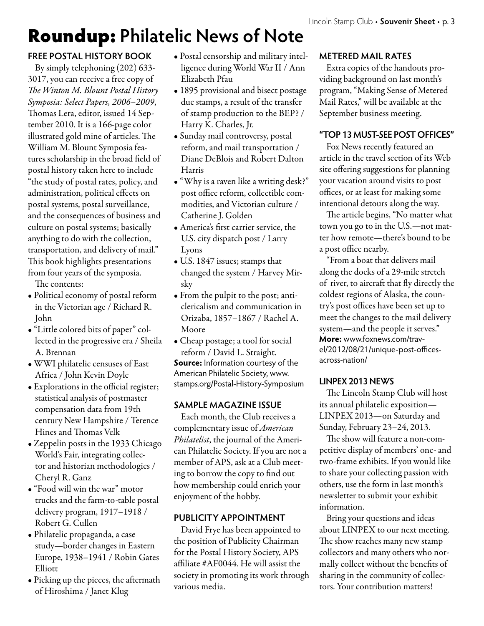## Roundup: **Philatelic News of Note**

#### **FREE POSTAL HISTORY BOOK**

By simply telephoning (202) 633- 3017, you can receive a free copy of *The Winton M. Blount Postal History Symposia: Select Papers, 2006–2009*, Thomas Lera, editor, issued 14 September 2010. It is a 166-page color illustrated gold mine of articles. The William M. Blount Symposia features scholarship in the broad field of postal history taken here to include "the study of postal rates, policy, and administration, political effects on postal systems, postal surveillance, and the consequences of business and culture on postal systems; basically anything to do with the collection, transportation, and delivery of mail." This book highlights presentations from four years of the symposia. The contents:

• Political economy of postal reform in the Victorian age / Richard R. John

- "Little colored bits of paper" collected in the progressive era / Sheila A. Brennan
- WWI philatelic censuses of East Africa / John Kevin Doyle
- Explorations in the official register; statistical analysis of postmaster compensation data from 19th century New Hampshire / Terence Hines and Thomas Velk
- Zeppelin posts in the 1933 Chicago World's Fair, integrating collector and historian methodologies / Cheryl R. Ganz
- "Food will win the war" motor trucks and the farm-to-table postal delivery program, 1917–1918 / Robert G. Cullen
- Philatelic propaganda, a case study—border changes in Eastern Europe, 1938–1941 / Robin Gates Elliott
- Picking up the pieces, the aftermath of Hiroshima / Janet Klug
- Postal censorship and military intelligence during World War II / Ann Elizabeth Pfau
- 1895 provisional and bisect postage due stamps, a result of the transfer of stamp production to the BEP? / Harry K. Charles, Jr.
- Sunday mail controversy, postal reform, and mail transportation / Diane DeBlois and Robert Dalton Harris
- "Why is a raven like a writing desk?" post office reform, collectible commodities, and Victorian culture / Catherine J. Golden
- America's first carrier service, the U.S. city dispatch post / Larry Lyons
- U.S. 1847 issues; stamps that changed the system / Harvey Mirsky
- From the pulpit to the post; anticlericalism and communication in Orizaba, 1857–1867 / Rachel A. Moore
- Cheap postage; a tool for social reform / David L. Straight.

**Source:** Information courtesy of the American Philatelic Society, www. stamps.org/Postal-History-Symposium

#### **SAMPLE MAGAZINE ISSUE**

Each month, the Club receives a complementary issue of *American Philatelist*, the journal of the American Philatelic Society. If you are not a member of APS, ask at a Club meeting to borrow the copy to find out how membership could enrich your enjoyment of the hobby.

#### **PUBLICITY APPOINTMENT**

David Frye has been appointed to the position of Publicity Chairman for the Postal History Society, APS affiliate #AF0044. He will assist the society in promoting its work through various media.

#### **METERED MAIL RATES**

Extra copies of the handouts providing background on last month's program, "Making Sense of Metered Mail Rates," will be available at the September business meeting.

#### **"TOP 13 MUST-SEE POST OFFICES"**

Fox News recently featured an article in the travel section of its Web site offering suggestions for planning your vacation around visits to post offices, or at least for making some intentional detours along the way.

The article begins, "No matter what town you go to in the U.S.—not matter how remote—there's bound to be a post office nearby.

"From a boat that delivers mail along the docks of a 29-mile stretch of river, to aircraft that fly directly the coldest regions of Alaska, the country's post offices have been set up to meet the changes to the mail delivery system—and the people it serves." **More:** www.foxnews.com/travel/2012/08/21/unique-post-officesacross-nation/

#### **LINPEX 2013 NEWS**

The Lincoln Stamp Club will host its annual philatelic exposition— LINPEX 2013—on Saturday and Sunday, February 23–24, 2013.

The show will feature a non-competitive display of members' one- and two-frame exhibits. If you would like to share your collecting passion with others, use the form in last month's newsletter to submit your exhibit information.

Bring your questions and ideas about LINPEX to our next meeting. The show reaches many new stamp collectors and many others who normally collect without the benefits of sharing in the community of collectors. Your contribution matters!